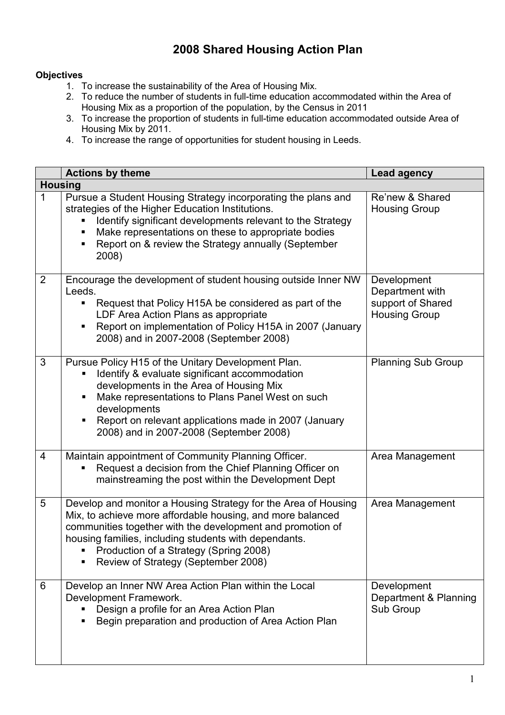## 2008 Shared Housing Action Plan

## **Objectives**

- 1. To increase the sustainability of the Area of Housing Mix.
- 2. To reduce the number of students in full-time education accommodated within the Area of Housing Mix as a proportion of the population, by the Census in 2011
- 3. To increase the proportion of students in full-time education accommodated outside Area of Housing Mix by 2011.
- 4. To increase the range of opportunities for student housing in Leeds.

|                         | <b>Actions by theme</b>                                                                                                                                                                                                                                                                                                              | <b>Lead agency</b>                                                          |  |  |
|-------------------------|--------------------------------------------------------------------------------------------------------------------------------------------------------------------------------------------------------------------------------------------------------------------------------------------------------------------------------------|-----------------------------------------------------------------------------|--|--|
| <b>Housing</b>          |                                                                                                                                                                                                                                                                                                                                      |                                                                             |  |  |
| $\mathbf{1}$            | Pursue a Student Housing Strategy incorporating the plans and<br>strategies of the Higher Education Institutions.<br>Identify significant developments relevant to the Strategy<br>Make representations on these to appropriate bodies<br>Report on & review the Strategy annually (September<br>2008)                               | Re'new & Shared<br><b>Housing Group</b>                                     |  |  |
| $\overline{2}$          | Encourage the development of student housing outside Inner NW<br>Leeds.<br>Request that Policy H15A be considered as part of the<br>LDF Area Action Plans as appropriate<br>Report on implementation of Policy H15A in 2007 (January<br>2008) and in 2007-2008 (September 2008)                                                      | Development<br>Department with<br>support of Shared<br><b>Housing Group</b> |  |  |
| 3                       | Pursue Policy H15 of the Unitary Development Plan.<br>Identify & evaluate significant accommodation<br>developments in the Area of Housing Mix<br>Make representations to Plans Panel West on such<br>developments<br>Report on relevant applications made in 2007 (January<br>2008) and in 2007-2008 (September 2008)               | <b>Planning Sub Group</b>                                                   |  |  |
| $\overline{\mathbf{4}}$ | Maintain appointment of Community Planning Officer.<br>Request a decision from the Chief Planning Officer on<br>mainstreaming the post within the Development Dept                                                                                                                                                                   | Area Management                                                             |  |  |
| 5                       | Develop and monitor a Housing Strategy for the Area of Housing<br>Mix, to achieve more affordable housing, and more balanced<br>communities together with the development and promotion of<br>housing families, including students with dependants.<br>Production of a Strategy (Spring 2008)<br>Review of Strategy (September 2008) | Area Management                                                             |  |  |
| 6                       | Develop an Inner NW Area Action Plan within the Local<br>Development Framework.<br>Design a profile for an Area Action Plan<br>Begin preparation and production of Area Action Plan                                                                                                                                                  | Development<br>Department & Planning<br>Sub Group                           |  |  |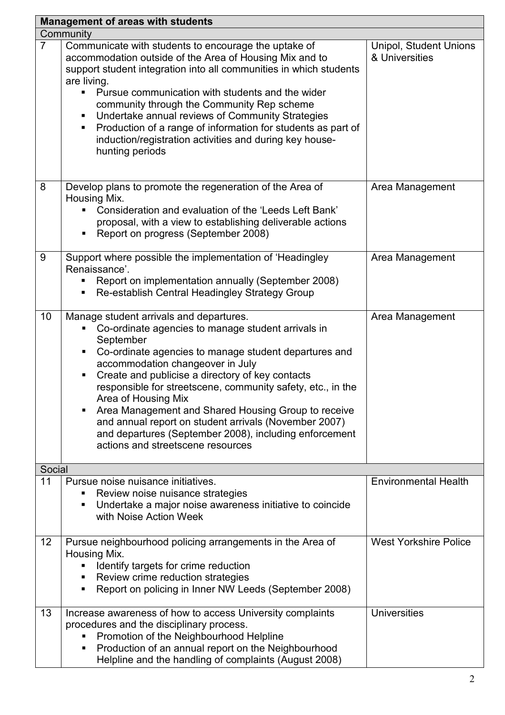| <b>Management of areas with students</b> |                                                                                                                                                                                                                                                                                                                                                                                                                                                                                                                                                                       |                                          |  |  |
|------------------------------------------|-----------------------------------------------------------------------------------------------------------------------------------------------------------------------------------------------------------------------------------------------------------------------------------------------------------------------------------------------------------------------------------------------------------------------------------------------------------------------------------------------------------------------------------------------------------------------|------------------------------------------|--|--|
| Community                                |                                                                                                                                                                                                                                                                                                                                                                                                                                                                                                                                                                       |                                          |  |  |
| $\overline{7}$                           | Communicate with students to encourage the uptake of<br>accommodation outside of the Area of Housing Mix and to<br>support student integration into all communities in which students<br>are living.<br>• Pursue communication with students and the wider<br>community through the Community Rep scheme<br>Undertake annual reviews of Community Strategies<br>п<br>Production of a range of information for students as part of<br>п<br>induction/registration activities and during key house-<br>hunting periods                                                  | Unipol, Student Unions<br>& Universities |  |  |
| 8                                        | Develop plans to promote the regeneration of the Area of<br>Housing Mix.<br>Consideration and evaluation of the 'Leeds Left Bank'<br>proposal, with a view to establishing deliverable actions<br>Report on progress (September 2008)                                                                                                                                                                                                                                                                                                                                 | Area Management                          |  |  |
| 9                                        | Support where possible the implementation of 'Headingley<br>Renaissance'.<br>Report on implementation annually (September 2008)<br>Re-establish Central Headingley Strategy Group                                                                                                                                                                                                                                                                                                                                                                                     | Area Management                          |  |  |
| 10                                       | Manage student arrivals and departures.<br>Co-ordinate agencies to manage student arrivals in<br>September<br>Co-ordinate agencies to manage student departures and<br>п<br>accommodation changeover in July<br>Create and publicise a directory of key contacts<br>responsible for streetscene, community safety, etc., in the<br>Area of Housing Mix<br>Area Management and Shared Housing Group to receive<br>and annual report on student arrivals (November 2007)<br>and departures (September 2008), including enforcement<br>actions and streetscene resources | Area Management                          |  |  |
| Social                                   |                                                                                                                                                                                                                                                                                                                                                                                                                                                                                                                                                                       |                                          |  |  |
| 11                                       | Pursue noise nuisance initiatives.<br>Review noise nuisance strategies<br>Undertake a major noise awareness initiative to coincide<br>п<br>with Noise Action Week                                                                                                                                                                                                                                                                                                                                                                                                     | <b>Environmental Health</b>              |  |  |
| 12                                       | Pursue neighbourhood policing arrangements in the Area of<br>Housing Mix.<br>Identify targets for crime reduction<br>Review crime reduction strategies<br>п<br>Report on policing in Inner NW Leeds (September 2008)<br>٠                                                                                                                                                                                                                                                                                                                                             | <b>West Yorkshire Police</b>             |  |  |
| 13                                       | Increase awareness of how to access University complaints<br>procedures and the disciplinary process.<br>Promotion of the Neighbourhood Helpline<br>п<br>Production of an annual report on the Neighbourhood<br>п<br>Helpline and the handling of complaints (August 2008)                                                                                                                                                                                                                                                                                            | <b>Universities</b>                      |  |  |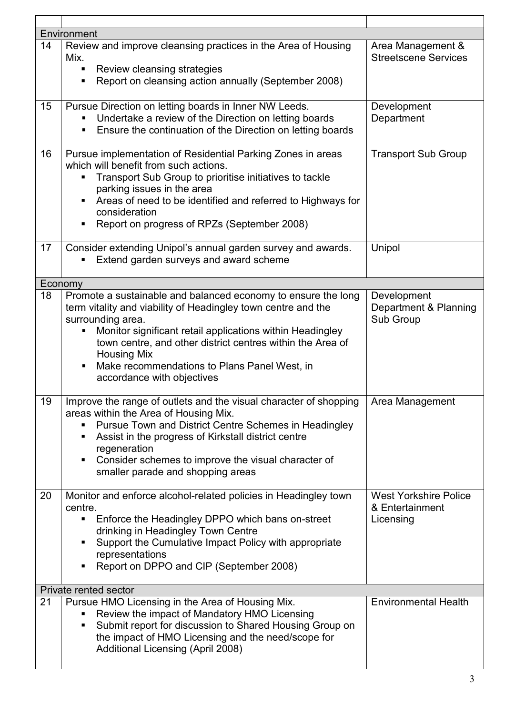| Environment           |                                                                                                                                                                                                                                                                                                                                                                                         |                                                              |  |  |  |
|-----------------------|-----------------------------------------------------------------------------------------------------------------------------------------------------------------------------------------------------------------------------------------------------------------------------------------------------------------------------------------------------------------------------------------|--------------------------------------------------------------|--|--|--|
| 14                    | Review and improve cleansing practices in the Area of Housing<br>Mix.<br>Review cleansing strategies<br>Report on cleansing action annually (September 2008)                                                                                                                                                                                                                            | Area Management &<br><b>Streetscene Services</b>             |  |  |  |
| 15                    | Pursue Direction on letting boards in Inner NW Leeds.<br>Undertake a review of the Direction on letting boards<br>Ensure the continuation of the Direction on letting boards                                                                                                                                                                                                            | Development<br>Department                                    |  |  |  |
| 16                    | Pursue implementation of Residential Parking Zones in areas<br>which will benefit from such actions.<br>Transport Sub Group to prioritise initiatives to tackle<br>parking issues in the area<br>Areas of need to be identified and referred to Highways for<br>consideration<br>Report on progress of RPZs (September 2008)                                                            | <b>Transport Sub Group</b>                                   |  |  |  |
| 17                    | Consider extending Unipol's annual garden survey and awards.<br>Extend garden surveys and award scheme                                                                                                                                                                                                                                                                                  | Unipol                                                       |  |  |  |
|                       | Economy                                                                                                                                                                                                                                                                                                                                                                                 |                                                              |  |  |  |
| 18                    | Promote a sustainable and balanced economy to ensure the long<br>term vitality and viability of Headingley town centre and the<br>surrounding area.<br>Monitor significant retail applications within Headingley<br>п<br>town centre, and other district centres within the Area of<br><b>Housing Mix</b><br>Make recommendations to Plans Panel West, in<br>accordance with objectives | Development<br>Department & Planning<br>Sub Group            |  |  |  |
| 19                    | Improve the range of outlets and the visual character of shopping<br>areas within the Area of Housing Mix.<br>Pursue Town and District Centre Schemes in Headingley<br>Assist in the progress of Kirkstall district centre<br>regeneration<br>Consider schemes to improve the visual character of<br>п<br>smaller parade and shopping areas                                             | Area Management                                              |  |  |  |
| 20                    | Monitor and enforce alcohol-related policies in Headingley town<br>centre.<br>Enforce the Headingley DPPO which bans on-street<br>п<br>drinking in Headingley Town Centre<br>Support the Cumulative Impact Policy with appropriate<br>representations<br>Report on DPPO and CIP (September 2008)                                                                                        | <b>West Yorkshire Police</b><br>& Entertainment<br>Licensing |  |  |  |
| Private rented sector |                                                                                                                                                                                                                                                                                                                                                                                         |                                                              |  |  |  |
| 21                    | Pursue HMO Licensing in the Area of Housing Mix.<br>Review the impact of Mandatory HMO Licensing<br>Submit report for discussion to Shared Housing Group on<br>п<br>the impact of HMO Licensing and the need/scope for<br>Additional Licensing (April 2008)                                                                                                                             | <b>Environmental Health</b>                                  |  |  |  |